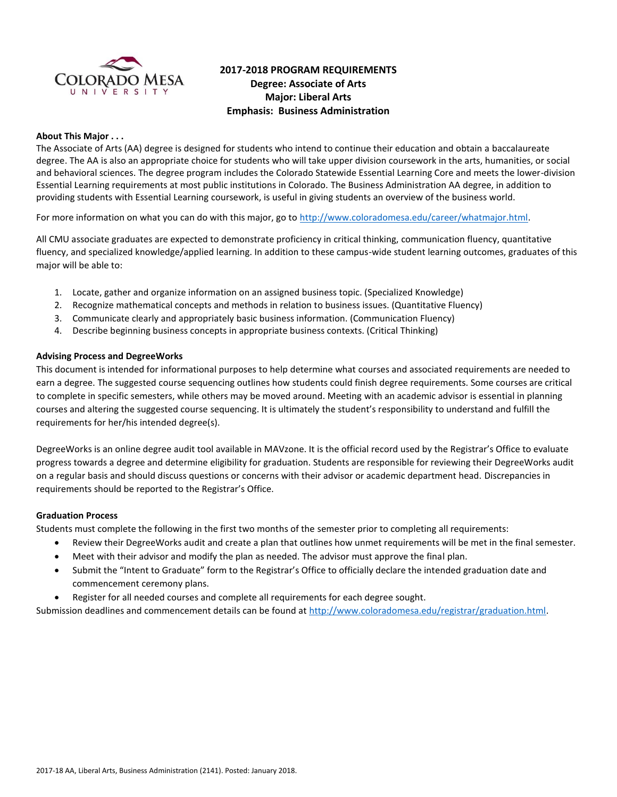

# **2017-2018 PROGRAM REQUIREMENTS Degree: Associate of Arts Major: Liberal Arts Emphasis: Business Administration**

#### **About This Major . . .**

The Associate of Arts (AA) degree is designed for students who intend to continue their education and obtain a baccalaureate degree. The AA is also an appropriate choice for students who will take upper division coursework in the arts, humanities, or social and behavioral sciences. The degree program includes the Colorado Statewide Essential Learning Core and meets the lower-division Essential Learning requirements at most public institutions in Colorado. The Business Administration AA degree, in addition to providing students with Essential Learning coursework, is useful in giving students an overview of the business world.

For more information on what you can do with this major, go to [http://www.coloradomesa.edu/career/whatmajor.html.](http://www.coloradomesa.edu/career/whatmajor.html)

All CMU associate graduates are expected to demonstrate proficiency in critical thinking, communication fluency, quantitative fluency, and specialized knowledge/applied learning. In addition to these campus-wide student learning outcomes, graduates of this major will be able to:

- 1. Locate, gather and organize information on an assigned business topic. (Specialized Knowledge)
- 2. Recognize mathematical concepts and methods in relation to business issues. (Quantitative Fluency)
- 3. Communicate clearly and appropriately basic business information. (Communication Fluency)
- 4. Describe beginning business concepts in appropriate business contexts. (Critical Thinking)

#### **Advising Process and DegreeWorks**

This document is intended for informational purposes to help determine what courses and associated requirements are needed to earn a degree. The suggested course sequencing outlines how students could finish degree requirements. Some courses are critical to complete in specific semesters, while others may be moved around. Meeting with an academic advisor is essential in planning courses and altering the suggested course sequencing. It is ultimately the student's responsibility to understand and fulfill the requirements for her/his intended degree(s).

DegreeWorks is an online degree audit tool available in MAVzone. It is the official record used by the Registrar's Office to evaluate progress towards a degree and determine eligibility for graduation. Students are responsible for reviewing their DegreeWorks audit on a regular basis and should discuss questions or concerns with their advisor or academic department head. Discrepancies in requirements should be reported to the Registrar's Office.

#### **Graduation Process**

Students must complete the following in the first two months of the semester prior to completing all requirements:

- Review their DegreeWorks audit and create a plan that outlines how unmet requirements will be met in the final semester.
- Meet with their advisor and modify the plan as needed. The advisor must approve the final plan.
- Submit the "Intent to Graduate" form to the Registrar's Office to officially declare the intended graduation date and commencement ceremony plans.
- Register for all needed courses and complete all requirements for each degree sought.

Submission deadlines and commencement details can be found at [http://www.coloradomesa.edu/registrar/graduation.html.](http://www.coloradomesa.edu/registrar/graduation.html)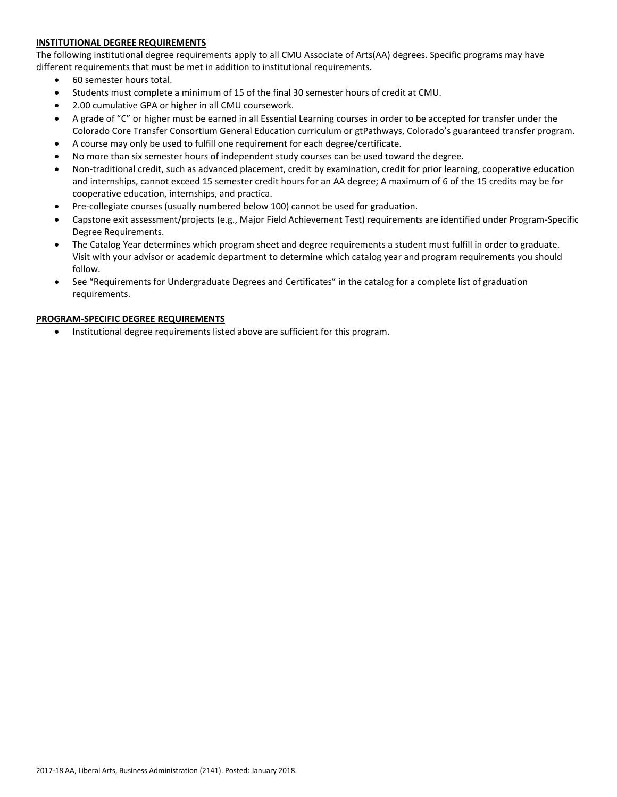### **INSTITUTIONAL DEGREE REQUIREMENTS**

The following institutional degree requirements apply to all CMU Associate of Arts(AA) degrees. Specific programs may have different requirements that must be met in addition to institutional requirements.

- 60 semester hours total.
- Students must complete a minimum of 15 of the final 30 semester hours of credit at CMU.
- 2.00 cumulative GPA or higher in all CMU coursework.
- A grade of "C" or higher must be earned in all Essential Learning courses in order to be accepted for transfer under the Colorado Core Transfer Consortium General Education curriculum or gtPathways, Colorado's guaranteed transfer program.
- A course may only be used to fulfill one requirement for each degree/certificate.
- No more than six semester hours of independent study courses can be used toward the degree.
- Non-traditional credit, such as advanced placement, credit by examination, credit for prior learning, cooperative education and internships, cannot exceed 15 semester credit hours for an AA degree; A maximum of 6 of the 15 credits may be for cooperative education, internships, and practica.
- Pre-collegiate courses (usually numbered below 100) cannot be used for graduation.
- Capstone exit assessment/projects (e.g., Major Field Achievement Test) requirements are identified under Program-Specific Degree Requirements.
- The Catalog Year determines which program sheet and degree requirements a student must fulfill in order to graduate. Visit with your advisor or academic department to determine which catalog year and program requirements you should follow.
- See "Requirements for Undergraduate Degrees and Certificates" in the catalog for a complete list of graduation requirements.

#### **PROGRAM-SPECIFIC DEGREE REQUIREMENTS**

Institutional degree requirements listed above are sufficient for this program.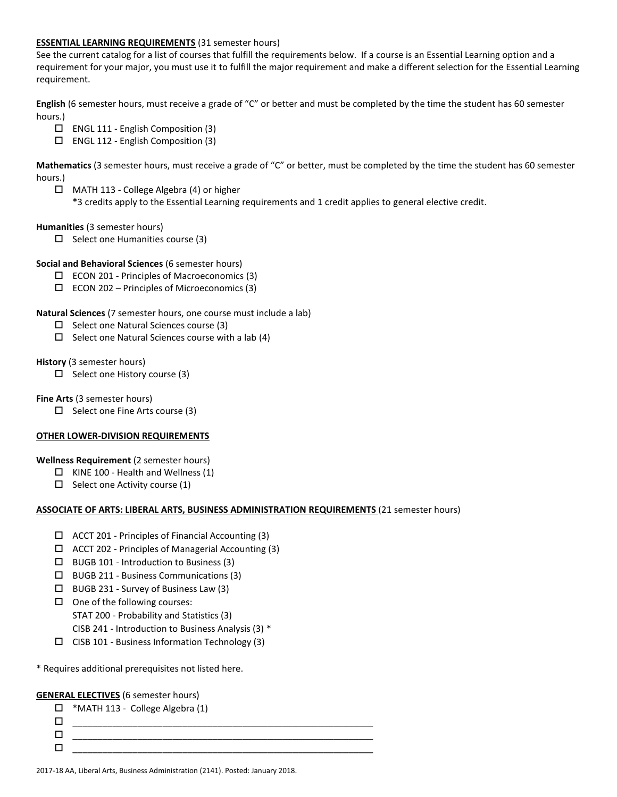#### **ESSENTIAL LEARNING REQUIREMENTS** (31 semester hours)

See the current catalog for a list of courses that fulfill the requirements below. If a course is an Essential Learning option and a requirement for your major, you must use it to fulfill the major requirement and make a different selection for the Essential Learning requirement.

**English** (6 semester hours, must receive a grade of "C" or better and must be completed by the time the student has 60 semester hours.)

- ENGL 111 English Composition (3)
- ENGL 112 English Composition (3)

**Mathematics** (3 semester hours, must receive a grade of "C" or better, must be completed by the time the student has 60 semester hours.)

- $\Box$  MATH 113 College Algebra (4) or higher
	- \*3 credits apply to the Essential Learning requirements and 1 credit applies to general elective credit.

## **Humanities** (3 semester hours)

- $\Box$  Select one Humanities course (3)
- **Social and Behavioral Sciences** (6 semester hours)
	- $\Box$  ECON 201 Principles of Macroeconomics (3)
	- $\Box$  ECON 202 Principles of Microeconomics (3)

#### **Natural Sciences** (7 semester hours, one course must include a lab)

- $\square$  Select one Natural Sciences course (3)
- $\Box$  Select one Natural Sciences course with a lab (4)

#### **History** (3 semester hours)

 $\Box$  Select one History course (3)

**Fine Arts** (3 semester hours)

 $\Box$  Select one Fine Arts course (3)

## **OTHER LOWER-DIVISION REQUIREMENTS**

**Wellness Requirement** (2 semester hours)

- $\Box$  KINE 100 Health and Wellness (1)
- $\Box$  Select one Activity course (1)

#### **ASSOCIATE OF ARTS: LIBERAL ARTS, BUSINESS ADMINISTRATION REQUIREMENTS** (21 semester hours)

- $\Box$  ACCT 201 Principles of Financial Accounting (3)
- $\Box$  ACCT 202 Principles of Managerial Accounting (3)
- $\Box$  BUGB 101 Introduction to Business (3)
- BUGB 211 Business Communications (3)
- BUGB 231 Survey of Business Law (3)
- $\Box$  One of the following courses:
	- STAT 200 Probability and Statistics (3)
	- CISB 241 Introduction to Business Analysis (3) \*
- $\square$  CISB 101 Business Information Technology (3)

\* Requires additional prerequisites not listed here.

#### **GENERAL ELECTIVES** (6 semester hours)

| ப | *MATH 113 - College Algebra (1) |
|---|---------------------------------|
|   |                                 |
|   |                                 |
|   |                                 |